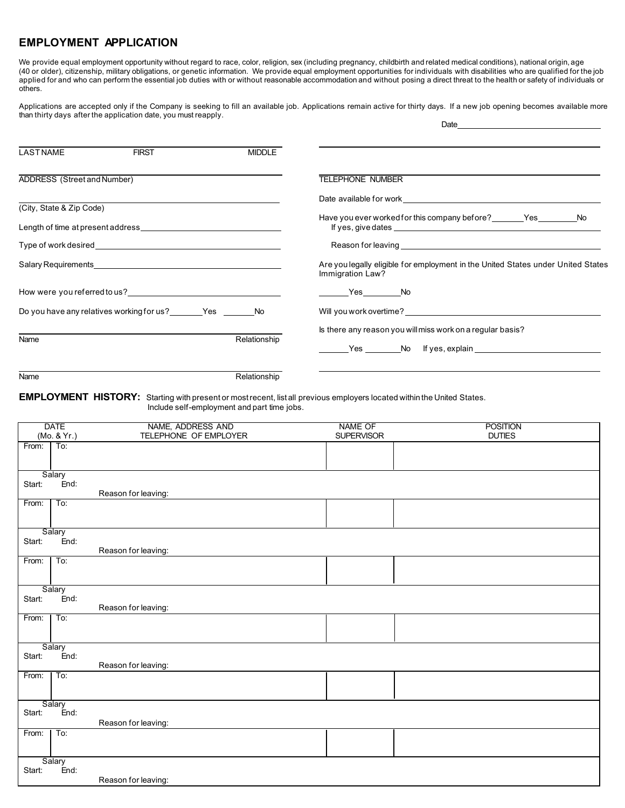## **EMPLOYMENT APPLICATION**

We provide equal employment opportunity without regard to race, color, religion, sex (including pregnancy, childbirth and related medical conditions), national origin, age (40 or older), citizenship, military obligations, or genetic information. We provide equal employment opportunities for individuals with disabilities who are qualified for the job applied for and who can perform the essential job duties with or without reasonable accommodation and without posing a direct threat to the health or safety of individuals or others.

Applications are accepted only if the Company is seeking to fill an available job. Applications remain active for thirty days. If a new job opening becomes available more than thirty days after the application date, you must reapply. **Date** 

| LASTNAME                    | <b>FIRST</b>                                                                                                                                                                                                                   | <b>MIDDLE</b>                                                                        |                                                                                                                                                                                                                                |
|-----------------------------|--------------------------------------------------------------------------------------------------------------------------------------------------------------------------------------------------------------------------------|--------------------------------------------------------------------------------------|--------------------------------------------------------------------------------------------------------------------------------------------------------------------------------------------------------------------------------|
| ADDRESS (Street and Number) |                                                                                                                                                                                                                                |                                                                                      | <b>TELEPHONE NUMBER</b>                                                                                                                                                                                                        |
|                             |                                                                                                                                                                                                                                |                                                                                      | Date available for work and the state of the state of the state of the state of the state of the state of the state of the state of the state of the state of the state of the state of the state of the state of the state of |
| (City, State & Zip Code)    | Length of time at present address example to the state of the state of the state of the state of the state of the state of the state of the state of the state of the state of the state of the state of the state of the stat |                                                                                      |                                                                                                                                                                                                                                |
|                             |                                                                                                                                                                                                                                |                                                                                      |                                                                                                                                                                                                                                |
|                             | Salary Requirements <b>Example 20</b> No. 1 No. 1 No. 1 No. 1 No. 1 No. 1 No. 1 No. 1 No. 1 No. 1 No. 1 No. 1 No. 1 No                                                                                                         |                                                                                      | Are you legally eligible for employment in the United States under United States<br>Immigration Law?                                                                                                                           |
|                             | How were you referred to us?                                                                                                                                                                                                   |                                                                                      |                                                                                                                                                                                                                                |
|                             | Do you have any relatives working for us? Yes No                                                                                                                                                                               |                                                                                      | Will you work overtime? The contract of the contract of the contract of the contract of the contract of the contract of the contract of the contract of the contract of the contract of the contract of the contract of the co |
| Name                        |                                                                                                                                                                                                                                | Is there any reason you will miss work on a regular basis?<br>Ves No If yes, explain |                                                                                                                                                                                                                                |

Name Relationship

**EMPLOYMENT HISTORY:** Starting with present or mostrecent, list all previous employers located within the United States.

Include self-employment and part time jobs.

|        | <b>DATE</b>    | NAME, ADDRESS AND     | <b>NAME OF</b>    | <b>POSITION</b> |
|--------|----------------|-----------------------|-------------------|-----------------|
|        | (Mo. & Yr.)    | TELEPHONE OF EMPLOYER | <b>SUPERVISOR</b> | <b>DUTIES</b>   |
| From:  | To:            |                       |                   |                 |
|        |                |                       |                   |                 |
|        |                |                       |                   |                 |
| Start: | Salary<br>End: |                       |                   |                 |
|        |                | Reason for leaving:   |                   |                 |
| From:  | To:            |                       |                   |                 |
|        |                |                       |                   |                 |
|        |                |                       |                   |                 |
|        | Salary         |                       |                   |                 |
| Start: | End:           |                       |                   |                 |
|        |                | Reason for leaving:   |                   |                 |
| From:  | To:            |                       |                   |                 |
|        |                |                       |                   |                 |
|        | Salary         |                       |                   |                 |
| Start: | End:           |                       |                   |                 |
|        |                | Reason for leaving:   |                   |                 |
| From:  | To:            |                       |                   |                 |
|        |                |                       |                   |                 |
|        |                |                       |                   |                 |
|        | Salary         |                       |                   |                 |
| Start: | End:           | Reason for leaving:   |                   |                 |
| From:  | To:            |                       |                   |                 |
|        |                |                       |                   |                 |
|        |                |                       |                   |                 |
|        | Salary         |                       |                   |                 |
| Start: | End:           |                       |                   |                 |
|        |                | Reason for leaving:   |                   |                 |
| From:  | To:            |                       |                   |                 |
|        |                |                       |                   |                 |
|        |                |                       |                   |                 |
| Start: | Salary<br>End: |                       |                   |                 |
|        |                | Reason for leaving:   |                   |                 |
|        |                |                       |                   |                 |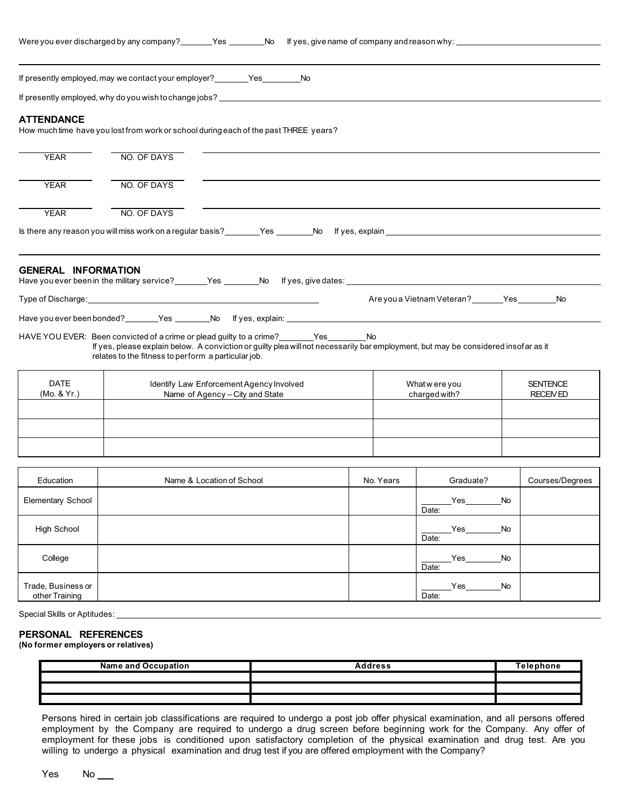|                            | If presently employed, may we contact your employer? __________Yes______________No                                                                                                                                                                                                       |  |                                |                                   |                                    |  |
|----------------------------|------------------------------------------------------------------------------------------------------------------------------------------------------------------------------------------------------------------------------------------------------------------------------------------|--|--------------------------------|-----------------------------------|------------------------------------|--|
|                            | If presently employed, why do you wish to change jobs?                                                                                                                                                                                                                                   |  |                                |                                   |                                    |  |
| <b>ATTENDANCE</b>          | How much time have you lost from work or school during each of the past THREE years?                                                                                                                                                                                                     |  |                                |                                   |                                    |  |
| <b>YEAR</b>                | NO. OF DAYS                                                                                                                                                                                                                                                                              |  |                                |                                   |                                    |  |
| <b>YEAR</b>                | NO. OF DAYS                                                                                                                                                                                                                                                                              |  |                                |                                   |                                    |  |
| <b>YEAR</b>                | NO. OF DAYS                                                                                                                                                                                                                                                                              |  |                                |                                   |                                    |  |
|                            | Is there any reason you will miss work on a regular basis?<br><u> Word Steen Mondial News, explain<br/> Word Step Andreas News, explain<br/> Words, explain<br/> Words, explain<br/> Words, explain<br/> Note Associated Andreas News, explain<br/> Note A</u>                           |  |                                |                                   |                                    |  |
|                            |                                                                                                                                                                                                                                                                                          |  |                                |                                   |                                    |  |
| <b>GENERAL INFORMATION</b> |                                                                                                                                                                                                                                                                                          |  |                                |                                   |                                    |  |
|                            | Type of Discharge: the contract of the contract of the contract of the contract of the contract of the contract of the contract of the contract of the contract of the contract of the contract of the contract of the contrac                                                           |  |                                | Are you a Vietnam Veteran? Yes No |                                    |  |
|                            |                                                                                                                                                                                                                                                                                          |  |                                |                                   |                                    |  |
|                            | HAVE YOU EVER: Been convicted of a crime or plead guilty to a crime? ________Yes_________No<br>If yes, please explain below. A conviction or guilty plea will not necessarily bar employment, but may be considered insofar as it<br>relates to the fitness to perform a particular job. |  |                                |                                   |                                    |  |
| <b>DATE</b><br>(Mo. & Yr.) | Identify Law Enforcement Agency Involved<br>Name of Agency - City and State                                                                                                                                                                                                              |  | What were you<br>charged with? |                                   | <b>SENTENCE</b><br><b>RECEIVED</b> |  |
|                            |                                                                                                                                                                                                                                                                                          |  |                                |                                   |                                    |  |
|                            |                                                                                                                                                                                                                                                                                          |  |                                |                                   |                                    |  |
|                            |                                                                                                                                                                                                                                                                                          |  |                                |                                   |                                    |  |
| Education                  | Name & Location of School                                                                                                                                                                                                                                                                |  | No. Years                      | Graduate?                         | Courses/Degrees                    |  |
| Elementary School          |                                                                                                                                                                                                                                                                                          |  |                                | Yes No<br>Date:                   |                                    |  |
| <b>High School</b>         |                                                                                                                                                                                                                                                                                          |  |                                | $Yes$ No<br>Date:                 |                                    |  |

| College                              |  | <b>No</b><br>Yes<br>Date: |  |
|--------------------------------------|--|---------------------------|--|
| Trade, Business or<br>other Training |  | <b>No</b><br>Yes<br>Date: |  |
|                                      |  |                           |  |

Special Skills or Aptitudes:

## **PERSONAL REFERENCES**

**(No former employers or relatives)**

| <b>Name and Occupation</b> | Address | Telephone |
|----------------------------|---------|-----------|
|                            |         |           |
|                            |         |           |
|                            |         |           |

Persons hired in certain job classifications are required to undergo a post job offer physical examination, and all persons offered employment by the Company are required to undergo a drug screen before beginning work for the Company. Any offer of employment for these jobs is conditioned upon satisfactory completion of the physical examination and drug test. Are you willing to undergo a physical examination and drug test if you are offered employment with the Company?